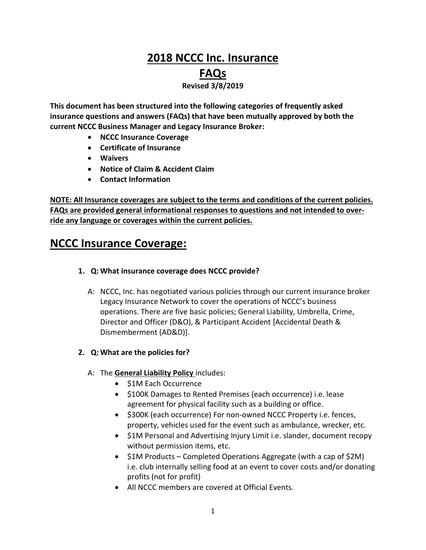# **2018 NCCC Inc. Insurance FAQs Revised 3/8/2019**

**This document has been structured into the following categories of frequently asked insurance questions and answers (FAQs) that have been mutually approved by both the current NCCC Business Manager and Legacy Insurance Broker:**

- **NCCC Insurance Coverage**
- **Certificate of Insurance**
- **Waivers**
- **Notice of Claim & Accident Claim**
- **Contact Information**

**NOTE: All Insurance coverages are subject to the terms and conditions of the current policies. FAQs are provided general informational responses to questions and not intended to override any language or coverages within the current policies.**

# **NCCC Insurance Coverage:**

- **1. Q: What insurance coverage does NCCC provide?**
	- A: NCCC, Inc. has negotiated various policies through our current insurance broker Legacy Insurance Network to cover the operations of NCCC's business operations. There are five basic policies; General Liability, Umbrella, Crime, Director and Officer (D&O), & Participant Accident [Accidental Death & Dismemberment (AD&D)].
- **2. Q: What are the policies for?**
	- A: The **General Liability Policy** includes:
		- \$1M Each Occurrence
		- \$100K Damages to Rented Premises (each occurrence) i.e. lease agreement for physical facility such as a building or office.
		- \$300K (each occurrence) For non-owned NCCC Property i.e. fences, property, vehicles used for the event such as ambulance, wrecker, etc.
		- \$1M Personal and Advertising Injury Limit i.e. slander, document recopy without permission items, etc.
		- \$1M Products Completed Operations Aggregate (with a cap of \$2M) i.e. club internally selling food at an event to cover costs and/or donating profits (not for profit)
		- All NCCC members are covered at Official Events.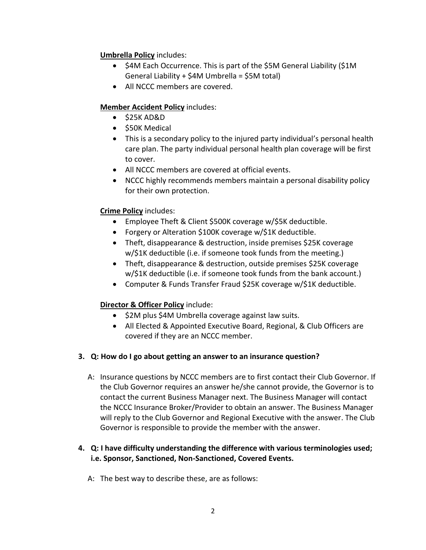### **Umbrella Policy** includes:

- \$4M Each Occurrence. This is part of the \$5M General Liability (\$1M General Liability + \$4M Umbrella = \$5M total)
- All NCCC members are covered.

## **Member Accident Policy** includes:

- $\bullet$  \$25K AD&D
- $\bullet$  \$50K Medical
- This is a secondary policy to the injured party individual's personal health care plan. The party individual personal health plan coverage will be first to cover.
- All NCCC members are covered at official events.
- NCCC highly recommends members maintain a personal disability policy for their own protection.

## **Crime Policy** includes:

- Employee Theft & Client \$500K coverage w/\$5K deductible.
- Forgery or Alteration \$100K coverage w/\$1K deductible.
- Theft, disappearance & destruction, inside premises \$25K coverage w/\$1K deductible (i.e. if someone took funds from the meeting.)
- Theft, disappearance & destruction, outside premises \$25K coverage w/\$1K deductible (i.e. if someone took funds from the bank account.)
- Computer & Funds Transfer Fraud \$25K coverage w/\$1K deductible.

## **Director & Officer Policy** include:

- \$2M plus \$4M Umbrella coverage against law suits.
- All Elected & Appointed Executive Board, Regional, & Club Officers are covered if they are an NCCC member.
- **3. Q: How do I go about getting an answer to an insurance question?**
	- A: Insurance questions by NCCC members are to first contact their Club Governor. If the Club Governor requires an answer he/she cannot provide, the Governor is to contact the current Business Manager next. The Business Manager will contact the NCCC Insurance Broker/Provider to obtain an answer. The Business Manager will reply to the Club Governor and Regional Executive with the answer. The Club Governor is responsible to provide the member with the answer.

## **4. Q: I have difficulty understanding the difference with various terminologies used; i.e. Sponsor, Sanctioned, Non-Sanctioned, Covered Events.**

A: The best way to describe these, are as follows: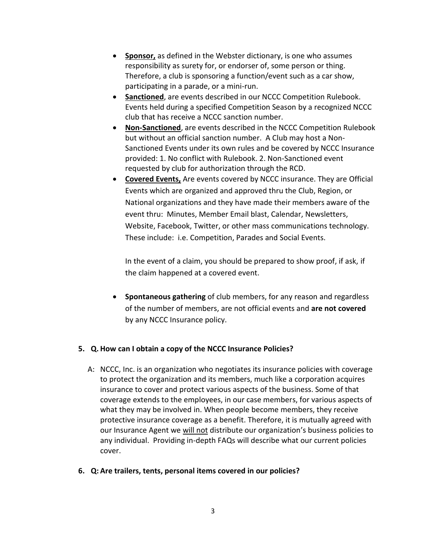- **Sponsor,** as defined in the Webster dictionary, is one who assumes responsibility as surety for, or endorser of, some person or thing. Therefore, a club is sponsoring a function/event such as a car show, participating in a parade, or a mini-run.
- **Sanctioned**, are events described in our NCCC Competition Rulebook. Events held during a specified Competition Season by a recognized NCCC club that has receive a NCCC sanction number.
- **Non-Sanctioned**, are events described in the NCCC Competition Rulebook but without an official sanction number. A Club may host a Non-Sanctioned Events under its own rules and be covered by NCCC Insurance provided: 1. No conflict with Rulebook. 2. Non-Sanctioned event requested by club for authorization through the RCD.
- **Covered Events,** Are events covered by NCCC insurance. They are Official Events which are organized and approved thru the Club, Region, or National organizations and they have made their members aware of the event thru: Minutes, Member Email blast, Calendar, Newsletters, Website, Facebook, Twitter, or other mass communications technology. These include: i.e. Competition, Parades and Social Events.

In the event of a claim, you should be prepared to show proof, if ask, if the claim happened at a covered event.

 **Spontaneous gathering** of club members, for any reason and regardless of the number of members, are not official events and **are not covered** by any NCCC Insurance policy.

#### **5. Q. How can I obtain a copy of the NCCC Insurance Policies?**

- A: NCCC, Inc. is an organization who negotiates its insurance policies with coverage to protect the organization and its members, much like a corporation acquires insurance to cover and protect various aspects of the business. Some of that coverage extends to the employees, in our case members, for various aspects of what they may be involved in. When people become members, they receive protective insurance coverage as a benefit. Therefore, it is mutually agreed with our Insurance Agent we will not distribute our organization's business policies to any individual. Providing in-depth FAQs will describe what our current policies cover.
- **6. Q: Are trailers, tents, personal items covered in our policies?**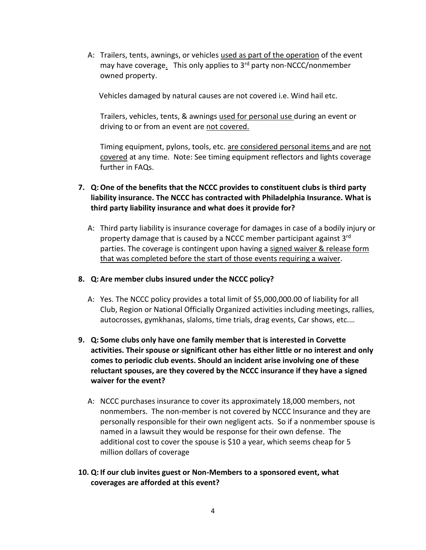A: Trailers, tents, awnings, or vehicles used as part of the operation of the event may have coverage. This only applies to 3<sup>rd</sup> party non-NCCC/nonmember owned property.

Vehicles damaged by natural causes are not covered i.e. Wind hail etc.

Trailers, vehicles, tents, & awnings used for personal use during an event or driving to or from an event are not covered.

Timing equipment, pylons, tools, etc. are considered personal items and are not covered at any time. Note: See timing equipment reflectors and lights coverage further in FAQs.

- **7. Q:One of the benefits that the NCCC provides to constituent clubs is third party liability insurance. The NCCC has contracted with Philadelphia Insurance. What is third party liability insurance and what does it provide for?**
	- A: Third party liability is insurance coverage for damages in case of a bodily injury or property damage that is caused by a NCCC member participant against 3<sup>rd</sup> parties. The coverage is contingent upon having a signed waiver & release form that was completed before the start of those events requiring a waiver.

#### **8. Q: Are member clubs insured under the NCCC policy?**

- A: Yes. The NCCC policy provides a total limit of \$5,000,000.00 of liability for all Club, Region or National Officially Organized activities including meetings, rallies, autocrosses, gymkhanas, slaloms, time trials, drag events, Car shows, etc.…
- **9. Q: Some clubs only have one family member that is interested in Corvette activities. Their spouse or significant other has either little or no interest and only comes to periodic club events. Should an incident arise involving one of these reluctant spouses, are they covered by the NCCC insurance if they have a signed waiver for the event?**
	- A: NCCC purchases insurance to cover its approximately 18,000 members, not nonmembers. The non-member is not covered by NCCC Insurance and they are personally responsible for their own negligent acts. So if a nonmember spouse is named in a lawsuit they would be response for their own defense. The additional cost to cover the spouse is \$10 a year, which seems cheap for 5 million dollars of coverage
- **10. Q: If our club invites guest or Non-Members to a sponsored event, what coverages are afforded at this event?**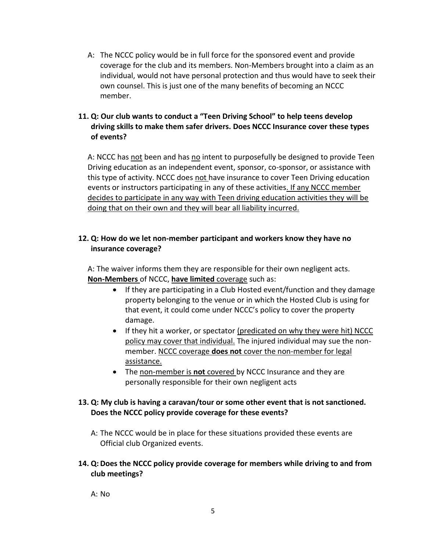A: The NCCC policy would be in full force for the sponsored event and provide coverage for the club and its members. Non-Members brought into a claim as an individual, would not have personal protection and thus would have to seek their own counsel. This is just one of the many benefits of becoming an NCCC member.

## **11. Q: Our club wants to conduct a "Teen Driving School" to help teens develop driving skills to make them safer drivers. Does NCCC Insurance cover these types of events?**

A: NCCC has not been and has no intent to purposefully be designed to provide Teen Driving education as an independent event, sponsor, co-sponsor, or assistance with this type of activity. NCCC does not have insurance to cover Teen Driving education events or instructors participating in any of these activities. If any NCCC member decides to participate in any way with Teen driving education activities they will be doing that on their own and they will bear all liability incurred.

## **12. Q: How do we let non-member participant and workers know they have no insurance coverage?**

A: The waiver informs them they are responsible for their own negligent acts. **Non-Members** of NCCC, **have limited** coverage such as:

- If they are participating in a Club Hosted event/function and they damage property belonging to the venue or in which the Hosted Club is using for that event, it could come under NCCC's policy to cover the property damage.
- If they hit a worker, or spectator (predicated on why they were hit) NCCC policy may cover that individual. The injured individual may sue the nonmember. NCCC coverage **does not** cover the non-member for legal assistance.
- The non-member is **not** covered by NCCC Insurance and they are personally responsible for their own negligent acts

#### **13. Q: My club is having a caravan/tour or some other event that is not sanctioned. Does the NCCC policy provide coverage for these events?**

A: The NCCC would be in place for these situations provided these events are Official club Organized events.

#### **14. Q:Does the NCCC policy provide coverage for members while driving to and from club meetings?**

A: No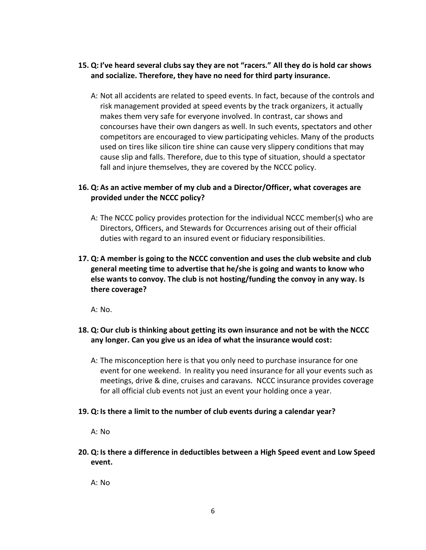#### **15. Q: I've heard several clubs say they are not "racers." All they do is hold car shows and socialize. Therefore, they have no need for third party insurance.**

A: Not all accidents are related to speed events. In fact, because of the controls and risk management provided at speed events by the track organizers, it actually makes them very safe for everyone involved. In contrast, car shows and concourses have their own dangers as well. In such events, spectators and other competitors are encouraged to view participating vehicles. Many of the products used on tires like silicon tire shine can cause very slippery conditions that may cause slip and falls. Therefore, due to this type of situation, should a spectator fall and injure themselves, they are covered by the NCCC policy.

## **16. Q: As an active member of my club and a Director/Officer, what coverages are provided under the NCCC policy?**

- A: The NCCC policy provides protection for the individual NCCC member(s) who are Directors, Officers, and Stewards for Occurrences arising out of their official duties with regard to an insured event or fiduciary responsibilities.
- **17. Q: A member is going to the NCCC convention and uses the club website and club general meeting time to advertise that he/she is going and wants to know who else wants to convoy. The club is not hosting/funding the convoy in any way. Is there coverage?**

A: No.

## **18. Q:Our club is thinking about getting its own insurance and not be with the NCCC any longer. Can you give us an idea of what the insurance would cost:**

A: The misconception here is that you only need to purchase insurance for one event for one weekend. In reality you need insurance for all your events such as meetings, drive & dine, cruises and caravans. NCCC insurance provides coverage for all official club events not just an event your holding once a year.

#### **19. Q: Is there a limit to the number of club events during a calendar year?**

A: No

**20. Q: Is there a difference in deductibles between a High Speed event and Low Speed event.** 

A: No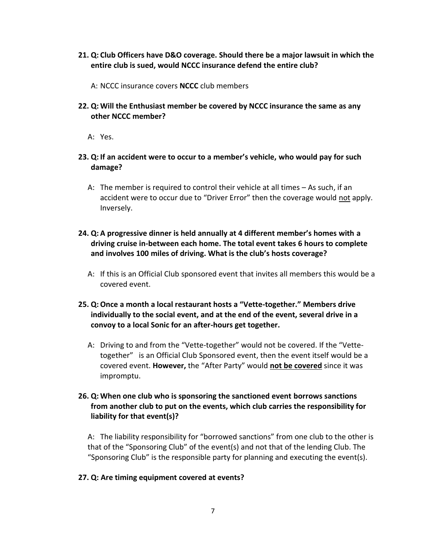- **21. Q: Club Officers have D&O coverage. Should there be a major lawsuit in which the entire club is sued, would NCCC insurance defend the entire club?**
	- A: NCCC insurance covers **NCCC** club members
- **22. Q: Will the Enthusiast member be covered by NCCC insurance the same as any other NCCC member?**

A: Yes.

- **23. Q: If an accident were to occur to a member's vehicle, who would pay for such damage?**
	- A: The member is required to control their vehicle at all times As such, if an accident were to occur due to "Driver Error" then the coverage would not apply. Inversely.
- **24. Q: A progressive dinner is held annually at 4 different member's homes with a driving cruise in-between each home. The total event takes 6 hours to complete and involves 100 miles of driving. What is the club's hosts coverage?**
	- A: If this is an Official Club sponsored event that invites all members this would be a covered event.
- **25. Q:Once a month a local restaurant hosts a "Vette-together." Members drive individually to the social event, and at the end of the event, several drive in a convoy to a local Sonic for an after-hours get together.**
	- A: Driving to and from the "Vette-together" would not be covered. If the "Vettetogether" is an Official Club Sponsored event, then the event itself would be a covered event. **However,** the "After Party" would **not be covered** since it was impromptu.

#### **26. Q: When one club who is sponsoring the sanctioned event borrows sanctions from another club to put on the events, which club carries the responsibility for liability for that event(s)?**

A: The liability responsibility for "borrowed sanctions" from one club to the other is that of the "Sponsoring Club" of the event(s) and not that of the lending Club. The "Sponsoring Club" is the responsible party for planning and executing the event(s).

#### **27. Q: Are timing equipment covered at events?**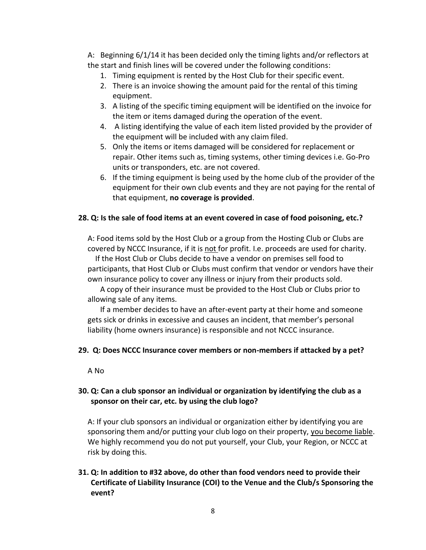A: Beginning 6/1/14 it has been decided only the timing lights and/or reflectors at the start and finish lines will be covered under the following conditions:

- 1. Timing equipment is rented by the Host Club for their specific event.
- 2. There is an invoice showing the amount paid for the rental of this timing equipment.
- 3. A listing of the specific timing equipment will be identified on the invoice for the item or items damaged during the operation of the event.
- 4. A listing identifying the value of each item listed provided by the provider of the equipment will be included with any claim filed.
- 5. Only the items or items damaged will be considered for replacement or repair. Other items such as, timing systems, other timing devices i.e. Go-Pro units or transponders, etc. are not covered.
- 6. If the timing equipment is being used by the home club of the provider of the equipment for their own club events and they are not paying for the rental of that equipment, **no coverage is provided**.

#### **28. Q: Is the sale of food items at an event covered in case of food poisoning, etc.?**

A: Food items sold by the Host Club or a group from the Hosting Club or Clubs are covered by NCCC Insurance, if it is not for profit. I.e. proceeds are used for charity.

 If the Host Club or Clubs decide to have a vendor on premises sell food to participants, that Host Club or Clubs must confirm that vendor or vendors have their own insurance policy to cover any illness or injury from their products sold.

A copy of their insurance must be provided to the Host Club or Clubs prior to allowing sale of any items.

If a member decides to have an after-event party at their home and someone gets sick or drinks in excessive and causes an incident, that member's personal liability (home owners insurance) is responsible and not NCCC insurance.

#### **29. Q: Does NCCC Insurance cover members or non-members if attacked by a pet?**

A No

#### **30. Q: Can a club sponsor an individual or organization by identifying the club as a sponsor on their car, etc. by using the club logo?**

A: If your club sponsors an individual or organization either by identifying you are sponsoring them and/or putting your club logo on their property, you become liable. We highly recommend you do not put yourself, your Club, your Region, or NCCC at risk by doing this.

## **31. Q: In addition to #32 above, do other than food vendors need to provide their Certificate of Liability Insurance (COI) to the Venue and the Club/s Sponsoring the event?**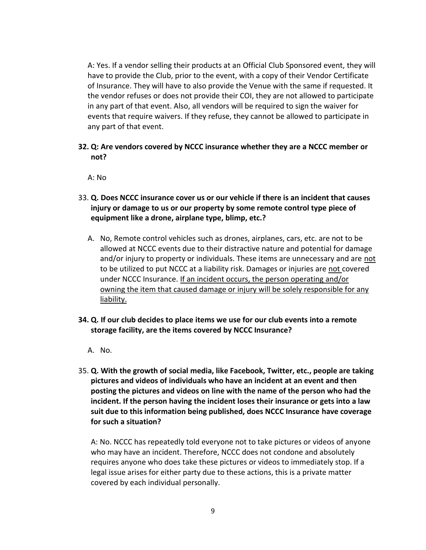A: Yes. If a vendor selling their products at an Official Club Sponsored event, they will have to provide the Club, prior to the event, with a copy of their Vendor Certificate of Insurance. They will have to also provide the Venue with the same if requested. It the vendor refuses or does not provide their COI, they are not allowed to participate in any part of that event. Also, all vendors will be required to sign the waiver for events that require waivers. If they refuse, they cannot be allowed to participate in any part of that event.

**32. Q: Are vendors covered by NCCC insurance whether they are a NCCC member or not?**

A: No

- 33. **Q. Does NCCC insurance cover us or our vehicle if there is an incident that causes injury or damage to us or our property by some remote control type piece of equipment like a drone, airplane type, blimp, etc.?** 
	- A. No, Remote control vehicles such as drones, airplanes, cars, etc. are not to be allowed at NCCC events due to their distractive nature and potential for damage and/or injury to property or individuals. These items are unnecessary and are not to be utilized to put NCCC at a liability risk. Damages or injuries are not covered under NCCC Insurance. If an incident occurs, the person operating and/or owning the item that caused damage or injury will be solely responsible for any liability.
- **34. Q. If our club decides to place items we use for our club events into a remote storage facility, are the items covered by NCCC Insurance?**
	- A. No.
- 35. **Q. With the growth of social media, like Facebook, Twitter, etc., people are taking pictures and videos of individuals who have an incident at an event and then posting the pictures and videos on line with the name of the person who had the incident. If the person having the incident loses their insurance or gets into a law suit due to this information being published, does NCCC Insurance have coverage for such a situation?**

A: No. NCCC has repeatedly told everyone not to take pictures or videos of anyone who may have an incident. Therefore, NCCC does not condone and absolutely requires anyone who does take these pictures or videos to immediately stop. If a legal issue arises for either party due to these actions, this is a private matter covered by each individual personally.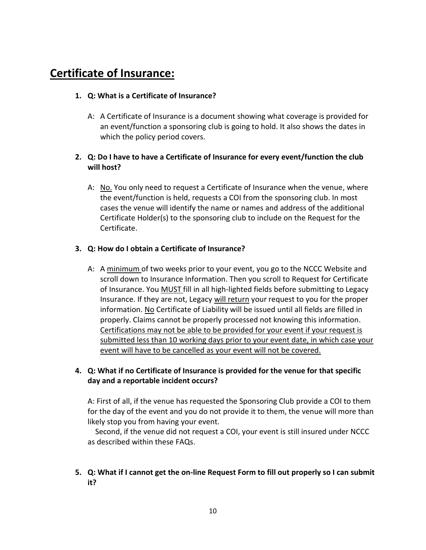# **Certificate of Insurance:**

#### **1. Q: What is a Certificate of Insurance?**

A: A Certificate of Insurance is a document showing what coverage is provided for an event/function a sponsoring club is going to hold. It also shows the dates in which the policy period covers.

### **2. Q: Do I have to have a Certificate of Insurance for every event/function the club will host?**

A: No. You only need to request a Certificate of Insurance when the venue, where the event/function is held, requests a COI from the sponsoring club. In most cases the venue will identify the name or names and address of the additional Certificate Holder(s) to the sponsoring club to include on the Request for the Certificate.

#### **3. Q: How do I obtain a Certificate of Insurance?**

A: A minimum of two weeks prior to your event, you go to the NCCC Website and scroll down to Insurance Information. Then you scroll to Request for Certificate of Insurance. You MUST fill in all high-lighted fields before submitting to Legacy Insurance. If they are not, Legacy will return your request to you for the proper information. No Certificate of Liability will be issued until all fields are filled in properly. Claims cannot be properly processed not knowing this information. Certifications may not be able to be provided for your event if your request is submitted less than 10 working days prior to your event date, in which case your event will have to be cancelled as your event will not be covered.

## **4. Q: What if no Certificate of Insurance is provided for the venue for that specific day and a reportable incident occurs?**

A: First of all, if the venue has requested the Sponsoring Club provide a COI to them for the day of the event and you do not provide it to them, the venue will more than likely stop you from having your event.

 Second, if the venue did not request a COI, your event is still insured under NCCC as described within these FAQs.

## **5. Q: What if I cannot get the on-line Request Form to fill out properly so I can submit it?**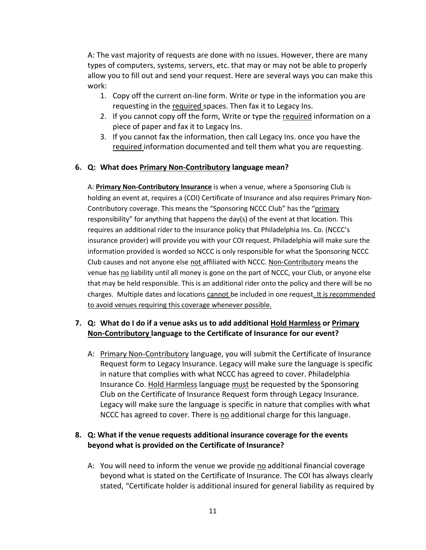A: The vast majority of requests are done with no issues. However, there are many types of computers, systems, servers, etc. that may or may not be able to properly allow you to fill out and send your request. Here are several ways you can make this work:

- 1. Copy off the current on-line form. Write or type in the information you are requesting in the required spaces. Then fax it to Legacy Ins.
- 2. If you cannot copy off the form, Write or type the required information on a piece of paper and fax it to Legacy Ins.
- 3. If you cannot fax the information, then call Legacy Ins. once you have the required information documented and tell them what you are requesting.

#### **6. Q: What does Primary Non-Contributory language mean?**

A: **Primary Non-Contributory Insurance** is when a venue, where a Sponsoring Club is holding an event at, requires a (COI) Certificate of Insurance and also requires Primary Non-Contributory coverage. This means the "Sponsoring NCCC Club" has the "primary responsibility" for anything that happens the day(s) of the event at that location. This requires an additional rider to the insurance policy that Philadelphia Ins. Co. (NCCC's insurance provider) will provide you with your COI request. Philadelphia will make sure the information provided is worded so NCCC is only responsible for what the Sponsoring NCCC Club causes and not anyone else not affiliated with NCCC. Non-Contributory means the venue has no liability until all money is gone on the part of NCCC, your Club, or anyone else that may be held responsible. This is an additional rider onto the policy and there will be no charges. Multiple dates and locations cannot be included in one request. It is recommended to avoid venues requiring this coverage whenever possible.

#### **7. Q: What do I do if a venue asks us to add additional Hold Harmless or Primary Non-Contributory language to the Certificate of Insurance for our event?**

A: Primary Non-Contributory language, you will submit the Certificate of Insurance Request form to Legacy Insurance. Legacy will make sure the language is specific in nature that complies with what NCCC has agreed to cover. Philadelphia Insurance Co. Hold Harmless language must be requested by the Sponsoring Club on the Certificate of Insurance Request form through Legacy Insurance. Legacy will make sure the language is specific in nature that complies with what NCCC has agreed to cover. There is no additional charge for this language.

## **8. Q: What if the venue requests additional insurance coverage for the events beyond what is provided on the Certificate of Insurance?**

A: You will need to inform the venue we provide no additional financial coverage beyond what is stated on the Certificate of Insurance. The COI has always clearly stated, "Certificate holder is additional insured for general liability as required by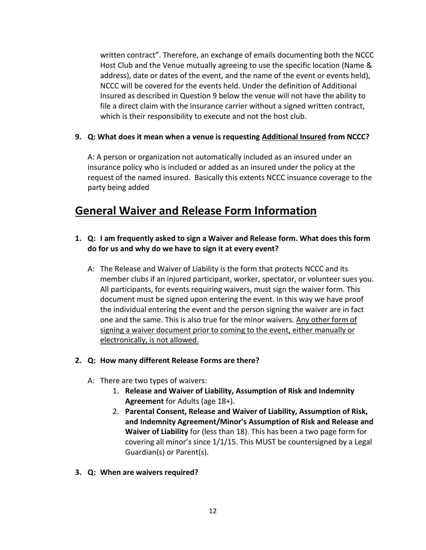written contract". Therefore, an exchange of emails documenting both the NCCC Host Club and the Venue mutually agreeing to use the specific location (Name & address), date or dates of the event, and the name of the event or events held), NCCC will be covered for the events held. Under the definition of Additional Insured as described in Question 9 below the venue will not have the ability to file a direct claim with the insurance carrier without a signed written contract, which is their responsibility to execute and not the host club.

#### **9. Q: What does it mean when a venue is requesting Additional Insured from NCCC?**

A: A person or organization not automatically included as an insured under an insurance policy who is included or added as an insured under the policy at the request of the named insured. Basically this extents NCCC insuance coverage to the party being added

# **General Waiver and Release Form Information**

- **1. Q: I am frequently asked to sign a Waiver and Release form. What does this form do for us and why do we have to sign it at every event?**
	- A: The Release and Waiver of Liability is the form that protects NCCC and its member clubs if an injured participant, worker, spectator, or volunteer sues you. All participants, for events requiring waivers, must sign the waiver form. This document must be signed upon entering the event. In this way we have proof the individual entering the event and the person signing the waiver are in fact one and the same. This is also true for the minor waivers. Any other form of signing a waiver document prior to coming to the event, either manually or electronically, is not allowed.

#### **2. Q: How many different Release Forms are there?**

- A: There are two types of waivers:
	- 1. **Release and Waiver of Liability, Assumption of Risk and Indemnity Agreement** for Adults (age 18+).
	- 2. **Parental Consent, Release and Waiver of Liability, Assumption of Risk, and Indemnity Agreement/Minor's Assumption of Risk and Release and Waiver of Liability** for (less than 18). This has been a two page form for covering all minor's since 1/1/15. This MUST be countersigned by a Legal Guardian(s) or Parent(s).
- **3. Q: When are waivers required?**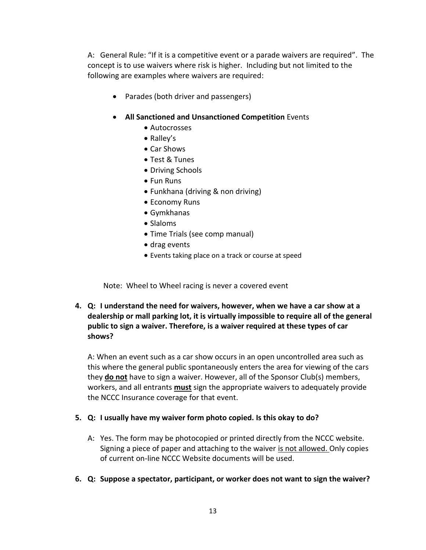A: General Rule: "If it is a competitive event or a parade waivers are required". The concept is to use waivers where risk is higher. Including but not limited to the following are examples where waivers are required:

• Parades (both driver and passengers)

#### **All Sanctioned and Unsanctioned Competition** Events

- Autocrosses
- Ralley's
- Car Shows
- Test & Tunes
- Driving Schools
- Fun Runs
- Funkhana (driving & non driving)
- Economy Runs
- Gymkhanas
- Slaloms
- Time Trials (see comp manual)
- drag events
- Events taking place on a track or course at speed

Note: Wheel to Wheel racing is never a covered event

**4. Q: I understand the need for waivers, however, when we have a car show at a dealership or mall parking lot, it is virtually impossible to require all of the general public to sign a waiver. Therefore, is a waiver required at these types of car shows?**

A: When an event such as a car show occurs in an open uncontrolled area such as this where the general public spontaneously enters the area for viewing of the cars they **do not** have to sign a waiver. However, all of the Sponsor Club(s) members, workers, and all entrants **must** sign the appropriate waivers to adequately provide the NCCC Insurance coverage for that event.

#### **5. Q: I usually have my waiver form photo copied. Is this okay to do?**

- A: Yes. The form may be photocopied or printed directly from the NCCC website. Signing a piece of paper and attaching to the waiver is not allowed. Only copies of current on-line NCCC Website documents will be used.
- **6. Q: Suppose a spectator, participant, or worker does not want to sign the waiver?**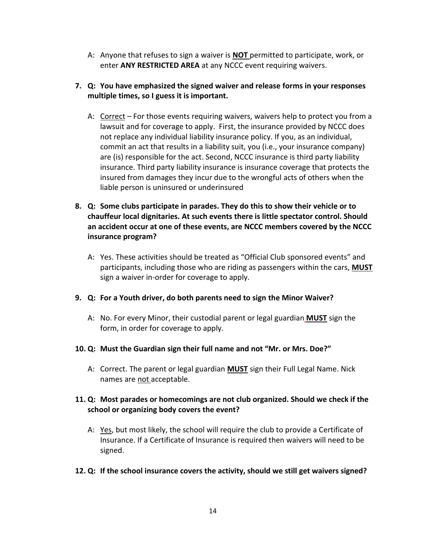A: Anyone that refuses to sign a waiver is **NOT** permitted to participate, work, or enter **ANY RESTRICTED AREA** at any NCCC event requiring waivers.

### **7. Q: You have emphasized the signed waiver and release forms in your responses multiple times, so I guess it is important.**

- A: Correct For those events requiring waivers, waivers help to protect you from a lawsuit and for coverage to apply. First, the insurance provided by NCCC does not replace any individual liability insurance policy. If you, as an individual, commit an act that results in a liability suit, you (i.e., your insurance company) are (is) responsible for the act. Second, NCCC insurance is third party liability insurance. Third party liability insurance is insurance coverage that protects the insured from damages they incur due to the wrongful acts of others when the liable person is uninsured or underinsured
- **8. Q: Some clubs participate in parades. They do this to show their vehicle or to chauffeur local dignitaries. At such events there is little spectator control. Should an accident occur at one of these events, are NCCC members covered by the NCCC insurance program?**
	- A: Yes. These activities should be treated as "Official Club sponsored events" and participants, including those who are riding as passengers within the cars, **MUST** sign a waiver in-order for coverage to apply.

#### **9. Q: For a Youth driver, do both parents need to sign the Minor Waiver?**

A: No. For every Minor, their custodial parent or legal guardian **MUST** sign the form, in order for coverage to apply.

#### **10. Q: Must the Guardian sign their full name and not "Mr. or Mrs. Doe?"**

A: Correct. The parent or legal guardian **MUST** sign their Full Legal Name. Nick names are not acceptable.

## **11. Q: Most parades or homecomings are not club organized. Should we check if the school or organizing body covers the event?**

A: Yes, but most likely, the school will require the club to provide a Certificate of Insurance. If a Certificate of Insurance is required then waivers will need to be signed.

#### **12. Q: If the school insurance covers the activity, should we still get waivers signed?**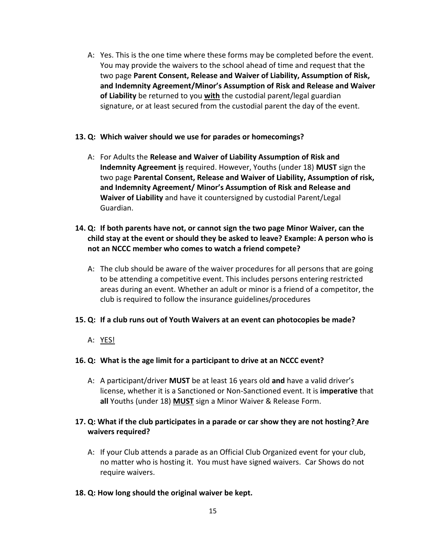A: Yes. This is the one time where these forms may be completed before the event. You may provide the waivers to the school ahead of time and request that the two page **Parent Consent, Release and Waiver of Liability, Assumption of Risk, and Indemnity Agreement/Minor's Assumption of Risk and Release and Waiver of Liability** be returned to you **with** the custodial parent/legal guardian signature, or at least secured from the custodial parent the day of the event.

#### **13. Q: Which waiver should we use for parades or homecomings?**

A: For Adults the **Release and Waiver of Liability Assumption of Risk and Indemnity Agreement is** required. However, Youths (under 18) **MUST** sign the two page **Parental Consent, Release and Waiver of Liability, Assumption of risk, and Indemnity Agreement/ Minor's Assumption of Risk and Release and Waiver of Liability** and have it countersigned by custodial Parent/Legal Guardian.

### **14. Q: If both parents have not, or cannot sign the two page Minor Waiver, can the child stay at the event or should they be asked to leave? Example: A person who is not an NCCC member who comes to watch a friend compete?**

A: The club should be aware of the waiver procedures for all persons that are going to be attending a competitive event. This includes persons entering restricted areas during an event. Whether an adult or minor is a friend of a competitor, the club is required to follow the insurance guidelines/procedures

#### **15. Q: If a club runs out of Youth Waivers at an event can photocopies be made?**

A: YES!

#### **16. Q: What is the age limit for a participant to drive at an NCCC event?**

A: A participant/driver **MUST** be at least 16 years old **and** have a valid driver's license, whether it is a Sanctioned or Non-Sanctioned event. It is **imperative** that **all** Youths (under 18) **MUST** sign a Minor Waiver & Release Form.

#### **17. Q: What if the club participates in a parade or car show they are not hosting? Are waivers required?**

A: If your Club attends a parade as an Official Club Organized event for your club, no matter who is hosting it. You must have signed waivers. Car Shows do not require waivers.

#### **18. Q: How long should the original waiver be kept.**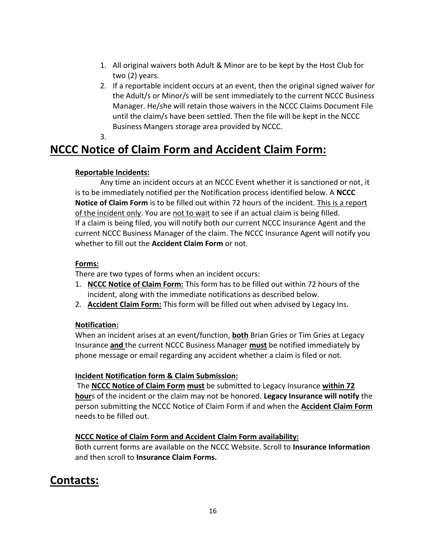- 1. All original waivers both Adult & Minor are to be kept by the Host Club for two (2) years.
- 2. If a reportable incident occurs at an event, then the original signed waiver for the Adult/s or Minor/s will be sent immediately to the current NCCC Business Manager. He/she will retain those waivers in the NCCC Claims Document File until the claim/s have been settled. Then the file will be kept in the NCCC Business Mangers storage area provided by NCCC.
- 3.

# **NCCC Notice of Claim Form and Accident Claim Form:**

#### **Reportable Incidents:**

Any time an incident occurs at an NCCC Event whether it is sanctioned or not, it is to be immediately notified per the Notification process identified below. A **NCCC Notice of Claim Form** is to be filled out within 72 hours of the incident. This is a report of the incident only. You are not to wait to see if an actual claim is being filled. If a claim is being filed, you will notify both our current NCCC Insurance Agent and the current NCCC Business Manager of the claim. The NCCC Insurance Agent will notify you whether to fill out the **Accident Claim Form** or not.

## **Forms:**

There are two types of forms when an incident occurs:

- 1. **NCCC Notice of Claim Form:** This form has to be filled out within 72 hours of the incident, along with the immediate notifications as described below.
- 2. **Accident Claim Form:** This form will be filled out when advised by Legacy Ins.

## **Notification:**

When an incident arises at an event/function, **both** Brian Gries or Tim Gries at Legacy Insurance **and** the current NCCC Business Manager **must** be notified immediately by phone message or email regarding any accident whether a claim is filed or not.

## **Incident Notification form & Claim Submission:**

The **NCCC Notice of Claim Form must** be submitted to Legacy Insurance **within 72 hour**s of the incident or the claim may not be honored. **Legacy Insurance will notify** the person submitting the NCCC Notice of Claim Form if and when the **Accident Claim Form** needs to be filled out.

## **NCCC Notice of Claim Form and Accident Claim Form availability:**

Both current forms are available on the NCCC Website. Scroll to **Insurance Information** and then scroll to **Insurance Claim Forms.** 

# **Contacts:**